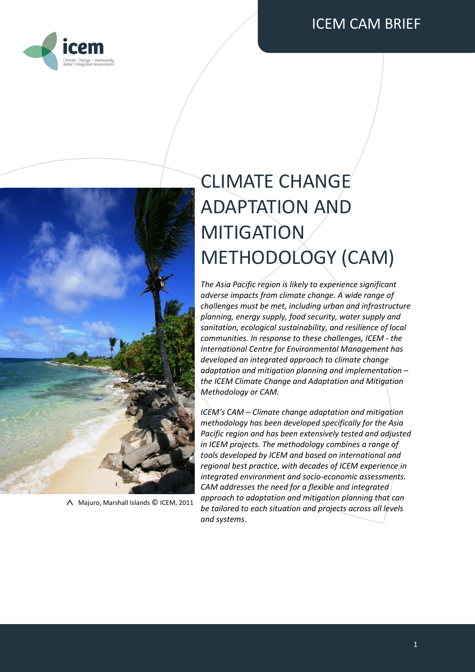



Majuro, Marshall Islands © ICEM, 2011

# CLIMATE CHANGE ADAPTATION AND MITIGATION METHODOLOGY (CAM)

*The Asia Pacific region is likely to experience significant adverse impacts from climate change. A wide range of challenges must be met, including urban and infrastructure planning, energy supply, food security, water supply and sanitation, ecological sustainability, and resilience of local communities. In response to these challenges, ICEM - the International Centre for Environmental Management has developed an integrated approach to climate change adaptation and mitigation planning and implementation – the ICEM Climate Change and Adaptation and Mitigation Methodology or CAM.*

*ICEM's CAM – Climate change adaptation and mitigation methodology has been developed specifically for the Asia Pacific region and has been extensively tested and adjusted in ICEM projects. The methodology combines a range of tools developed by ICEM and based on international and regional best practice, with decades of ICEM experience in integrated environment and socio-economic assessments. CAM addresses the need for a flexible and integrated approach to adaptation and mitigation planning that can be tailored to each situation and projects across all levels and systems.*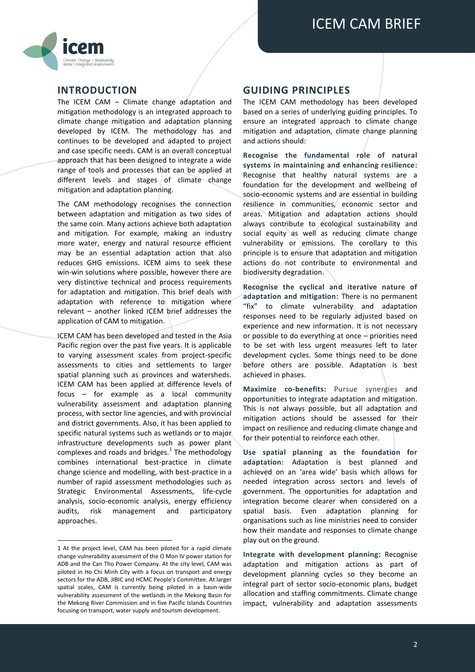

### **INTRODUCTION**

The ICEM CAM – Climate change adaptation and mitigation methodology is an integrated approach to climate change mitigation and adaptation planning developed by ICEM. The methodology has and continues to be developed and adapted to project and case specific needs. CAM is an overall conceptual approach that has been designed to integrate a wide range of tools and processes that can be applied at different levels and stages of climate change mitigation and adaptation planning.

The CAM methodology recognises the connection between adaptation and mitigation as two sides of the same coin. Many actions achieve both adaptation and mitigation. For example, making an industry more water, energy and natural resource efficient may be an essential adaptation action that also reduces GHG emissions. ICEM aims to seek these win-win solutions where possible, however there are very distinctive technical and process requirements for adaptation and mitigation. This brief deals with adaptation with reference to mitigation where relevant – another linked ICEM brief addresses the application of CAM to mitigation.

ICEM CAM has been developed and tested in the Asia Pacific region over the past five years. It is applicable to varying assessment scales from project-specific assessments to cities and settlements to larger spatial planning such as provinces and watersheds. ICEM CAM has been applied at difference levels of focus – for example as a local community vulnerability assessment and adaptation planning process, with sector line agencies, and with provincial and district governments. Also, it has been applied to specific natural systems such as wetlands or to major infrastructure developments such as power plant complexes and roads and bridges. $1$  The methodology combines international best-practice in climate change science and modelling, with best-practice in a number of rapid assessment methodologies such as Strategic Environmental Assessments, life-cycle analysis, socio-economic analysis, energy efficiency audits, risk management and participatory approaches.

**.** 

#### **GUIDING PRINCIPLES**

The ICEM CAM methodology has been developed based on a series of underlying guiding principles. To ensure an integrated approach to climate change mitigation and adaptation, climate change planning and actions should:

**Recognise the fundamental role of natural systems in maintaining and enhancing resilience:** Recognise that healthy natural systems are a foundation for the development and wellbeing of socio-economic systems and are essential in building resilience in communities, economic sector and areas. Mitigation and adaptation actions should always contribute to ecological sustainability and social equity as well as reducing climate change vulnerability or emissions. The corollary to this principle is to ensure that adaptation and mitigation actions do not contribute to environmental and biodiversity degradation.

**Recognise the cyclical and iterative nature of adaptation and mitigation:** There is no permanent "fix" to climate vulnerability and adaptation responses need to be regularly adjusted based on experience and new information. It is not necessary or possible to do everything at once – priorities need to be set with less urgent measures left to later development cycles. Some things need to be done before others are possible. Adaptation is best achieved in phases.

**Maximize co-benefits:** Pursue synergies and opportunities to integrate adaptation and mitigation. This is not always possible, but all adaptation and mitigation actions should be assessed for their impact on resilience and reducing climate change and for their potential to reinforce each other.

**Use spatial planning as the foundation for adaptation:** Adaptation is best planned and achieved on an 'area wide' basis which allows for needed integration across sectors and levels of government. The opportunities for adaptation and integration become clearer when considered on a spatial basis. Even adaptation planning for organisations such as line ministries need to consider how their mandate and responses to climate change play out on the ground.

**Integrate with development planning:** Recognise adaptation and mitigation actions as part of development planning cycles so they become an integral part of sector socio-economic plans, budget allocation and staffing commitments. Climate change impact, vulnerability and adaptation assessments

<sup>1</sup> At the project level, CAM has been piloted for a rapid climate change vulnerability assessment of the O Mon IV power station for ADB and the Can Tho Power Company. At the city level, CAM was piloted in Ho Chi Minh City with a focus on transport and energy sectors for the ADB, JIBIC and HCMC People's Committee. At larger spatial scales, CAM is currently being piloted in a basin-wide vulnerability assessment of the wetlands in the Mekong Basin for the Mekong River Commission and in five Pacific Islands Countries focusing on transport, water supply and tourism development.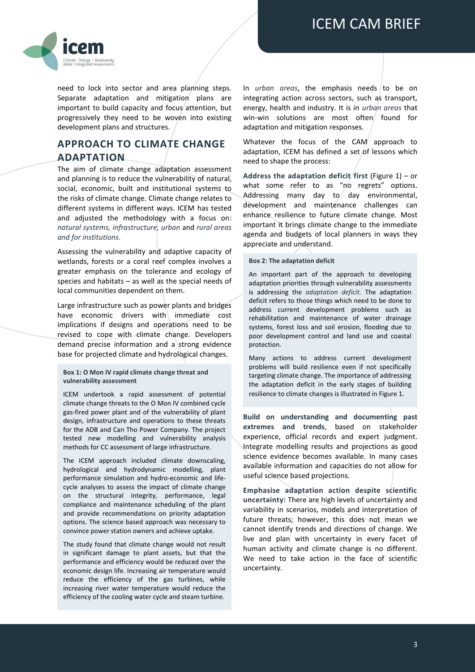

need to lock into sector and area planning steps. Separate adaptation and mitigation plans are important to build capacity and focus attention, but progressively they need to be woven into existing development plans and structures.

# **APPROACH TO CLIMATE CHANGE ADAPTATION**

The aim of climate change adaptation assessment and planning is to reduce the vulnerability of natural, social, economic, built and institutional systems to the risks of climate change. Climate change relates to different systems in different ways. ICEM has tested and adjusted the methodology with a focus on: *natural systems, infrastructure, urban* and *rural areas and for institutions*.

Assessing the vulnerability and adaptive capacity of wetlands, forests or a coral reef complex involves a greater emphasis on the tolerance and ecology of species and habitats – as well as the special needs of local communities dependent on them.

Large infrastructure such as power plants and bridges have economic drivers with immediate cost implications if designs and operations need to be revised to cope with climate change. Developers demand precise information and a strong evidence base for projected climate and hydrological changes.

#### **Box 1: O Mon IV rapid climate change threat and vulnerability assessment**

ICEM undertook a rapid assessment of potential climate change threats to the O Mon IV combined cycle gas-fired power plant and of the vulnerability of plant design, infrastructure and operations to these threats for the ADB and Can Tho Power Company. The project tested new modelling and vulnerability analysis methods for CC assessment of large infrastructure.

The ICEM approach included climate downscaling, hydrological and hydrodynamic modelling, plant performance simulation and hydro-economic and lifecycle analyses to assess the impact of climate change on the structural integrity, performance, legal compliance and maintenance scheduling of the plant and provide recommendations on priority adaptation options. The science based approach was necessary to convince power station owners and achieve uptake.

The study found that climate change would not result in significant damage to plant assets, but that the performance and efficiency would be reduced over the economic design life. Increasing air temperature would reduce the efficiency of the gas turbines, while increasing river water temperature would reduce the efficiency of the cooling water cycle and steam turbine.

In *urban areas*, the emphasis needs to be on integrating action across sectors, such as transport, energy, health and industry. It is in *urban areas* that win-win solutions are most often found for adaptation and mitigation responses.

Whatever the focus of the CAM approach to adaptation, ICEM has defined a set of lessons which need to shape the process:

**Address the adaptation deficit first** (Figure 1) – or what some refer to as "no regrets" options. Addressing many day to day environmental, development and maintenance challenges can enhance resilience to future climate change. Most important it brings climate change to the immediate agenda and budgets of local planners in ways they appreciate and understand.

#### **Box 2: The adaptation deficit**

An important part of the approach to developing adaptation priorities through vulnerability assessments is addressing the *adaptation deficit.* The adaptation deficit refers to those things which need to be done to address current development problems such as rehabilitation and maintenance of water drainage systems, forest loss and soil erosion, flooding due to poor development control and land use and coastal protection.

Many actions to address current development problems will build resilience even if not specifically targeting climate change. The importance of addressing the adaptation deficit in the early stages of building resilience to climate changes is illustrated i[n Figure 1](#page-3-0).

**Build on understanding and documenting past extremes and trends**, based on stakeholder experience, official records and expert judgment. Integrate modelling results and projections as good science evidence becomes available. In many cases available information and capacities do not allow for useful science based projections.

**Emphasise adaptation action despite scientific uncertainty:** There are high levels of uncertainty and variability in scenarios, models and interpretation of future threats; however, this does not mean we cannot identify trends and directions of change. We live and plan with uncertainty in every facet of human activity and climate change is no different. We need to take action in the face of scientific uncertainty.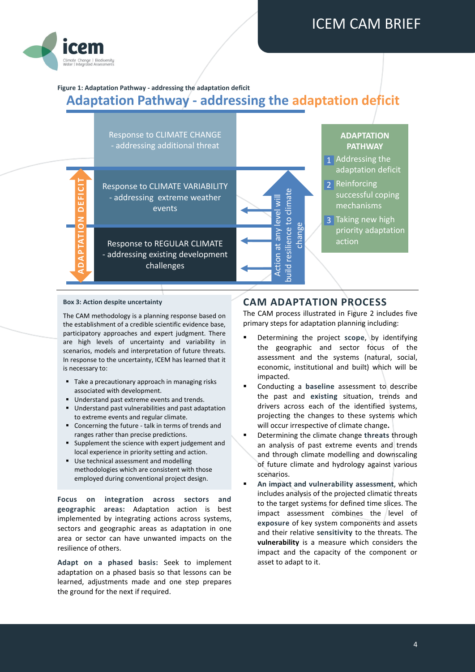

# <span id="page-3-0"></span>**Figure 1: Adaptation Pathway - addressing the adaptation deficit Adaptation Pathway - addressing the adaptation deficit**



#### **Box 3: Action despite uncertainty**

The CAM methodology is a planning response based on the establishment of a credible scientific evidence base, participatory approaches and expert judgment. There are high levels of uncertainty and variability in scenarios, models and interpretation of future threats. In response to the uncertainty, ICEM has learned that it is necessary to:

- Take a precautionary approach in managing risks associated with development.
- Understand past extreme events and trends.
- Understand past vulnerabilities and past adaptation to extreme events and regular climate.
- Concerning the future talk in terms of trends and ranges rather than precise predictions.
- Supplement the science with expert judgement and local experience in priority setting and action.
- Use technical assessment and modelling methodologies which are consistent with those employed during conventional project design.

**Focus on integration across sectors and geographic areas:** Adaptation action is best implemented by integrating actions across systems, sectors and geographic areas as adaptation in one area or sector can have unwanted impacts on the resilience of others.

**Adapt on a phased basis:** Seek to implement adaptation on a phased basis so that lessons can be learned, adjustments made and one step prepares the ground for the next if required.

### **CAM ADAPTATION PROCESS**

The CAM process illustrated in [Figure 2](#page-4-0) includes five primary steps for adaptation planning including:

- **Determining the project scope, by identifying** the geographic and sector focus of the assessment and the systems (natural, social, economic, institutional and built) which will be impacted.
- Conducting a **baseline** assessment to describe the past and **existing** situation, trends and drivers across each of the identified systems, projecting the changes to these systems which will occur irrespective of climate change**.**
- Determining the climate change **threats** through an analysis of past extreme events and trends and through climate modelling and downscaling of future climate and hydrology against various scenarios.
- **An impact and vulnerability assessment**, which includes analysis of the projected climatic threats to the target systems for defined time slices. The impact assessment combines the level of **exposure** of key system components and assets and their relative **sensitivity** to the threats. The **vulnerability** is a measure which considers the impact and the capacity of the component or asset to adapt to it.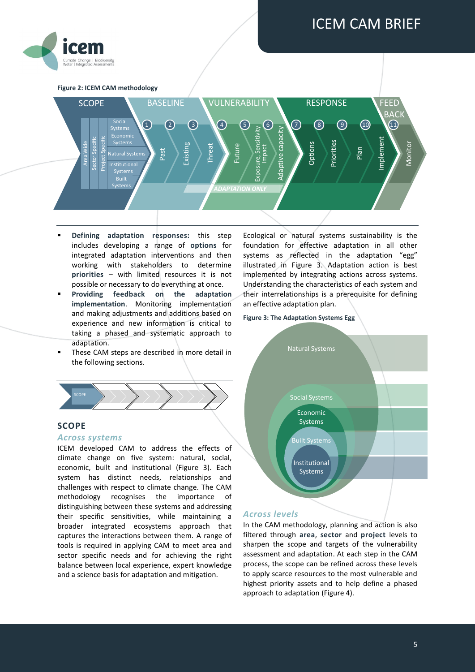

<span id="page-4-0"></span>**Figure 2: ICEM CAM methodology**



- **Defining adaptation responses:** this step includes developing a range of **options** for integrated adaptation interventions and then working with stakeholders to determine **priorities** – with limited resources it is not possible or necessary to do everything at once.
- **Providing feedback on the adaptation implementation**. Monitoring implementation and making adjustments and additions based on experience and new information is critical to taking a phased and systematic approach to adaptation.
- These CAM steps are described in more detail in the following sections.



#### **SCOPE**

#### *Across systems*

ICEM developed CAM to address the effects of climate change on five system: natural, social, economic, built and institutional (Figure 3). Each system has distinct needs, relationships and challenges with respect to climate change. The CAM methodology recognises the importance of distinguishing between these systems and addressing their specific sensitivities, while maintaining a broader integrated ecosystems approach that captures the interactions between them. A range of tools is required in applying CAM to meet area and sector specific needs and for achieving the right balance between local experience, expert knowledge and a science basis for adaptation and mitigation.

Ecological or natural systems sustainability is the foundation for effective adaptation in all other systems as reflected in the adaptation "egg" illustrated in Figure 3. Adaptation action is best implemented by integrating actions across systems. Understanding the characteristics of each system and their interrelationships is a prerequisite for defining an effective adaptation plan.

#### **Figure 3: The Adaptation Systems Egg**



#### *Across levels*

In the CAM methodology, planning and action is also filtered through **area**, **sector** and **project** levels to sharpen the scope and targets of the vulnerability assessment and adaptation. At each step in the CAM process, the scope can be refined across these levels to apply scarce resources to the most vulnerable and highest priority assets and to help define a phased approach to adaptation [\(Figure 4\)](#page-5-0).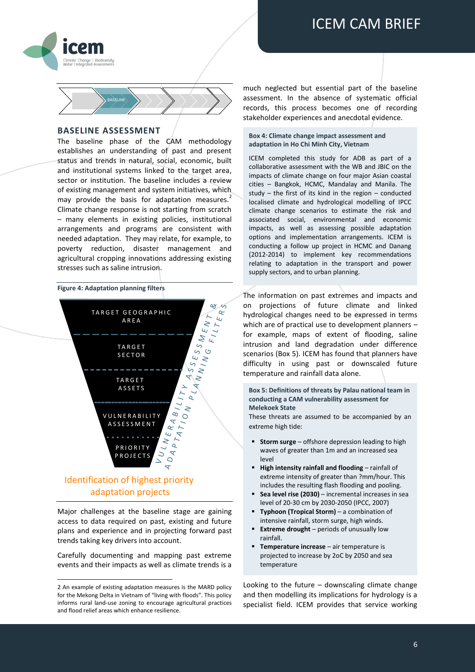



#### **BASELINE ASSESSMENT**

The baseline phase of the CAM methodology establishes an understanding of past and present status and trends in natural, social, economic, built and institutional systems linked to the target area, sector or institution. The baseline includes a review of existing management and system initiatives, which may provide the basis for adaptation measures. $2$ Climate change response is not starting from scratch – many elements in existing policies, institutional arrangements and programs are consistent with needed adaptation. They may relate, for example, to poverty reduction, disaster management and agricultural cropping innovations addressing existing stresses such as saline intrusion.

#### <span id="page-5-0"></span>**Figure 4: Adaptation planning filters**



Major challenges at the baseline stage are gaining access to data required on past, existing and future plans and experience and in projecting forward past trends taking key drivers into account.

Carefully documenting and mapping past extreme events and their impacts as well as climate trends is a

**.** 

much neglected but essential part of the baseline assessment. In the absence of systematic official records, this process becomes one of recording stakeholder experiences and anecdotal evidence.

#### **Box 4: Climate change impact assessment and adaptation in Ho Chi Minh City, Vietnam**

ICEM completed this study for ADB as part of a collaborative assessment with the WB and JBIC on the impacts of climate change on four major Asian coastal cities – Bangkok, HCMC, Mandalay and Manila. The study – the first of its kind in the region – conducted localised climate and hydrological modelling of IPCC climate change scenarios to estimate the risk and associated social, environmental and economic impacts, as well as assessing possible adaptation options and implementation arrangements. ICEM is conducting a follow up project in HCMC and Danang (2012-2014) to implement key recommendations relating to adaptation in the transport and power supply sectors, and to urban planning.

The information on past extremes and impacts and on projections of future climate and linked hydrological changes need to be expressed in terms which are of practical use to development planners – for example, maps of extent of flooding, saline intrusion and land degradation under difference scenarios (Box 5). ICEM has found that planners have difficulty in using past or downscaled future temperature and rainfall data alone.

**Box 5: Definitions of threats by Palau national team in conducting a CAM vulnerability assessment for Melekoek State**

These threats are assumed to be accompanied by an extreme high tide:

- **Storm surge** offshore depression leading to high waves of greater than 1m and an increased sea level
- **High intensity rainfall and flooding** rainfall of extreme intensity of greater than ?mm/hour. This includes the resulting flash flooding and pooling.
- **Sea level rise (2030)** incremental increases in sea level of 20-30 cm by 2030-2050 (IPCC, 2007)
- **Typhoon (Tropical Storm)** a combination of intensive rainfall, storm surge, high winds.
- **Extreme drought** periods of unusually low rainfall.
- **Temperature increase** air temperature is projected to increase by 2oC by 2050 and sea temperature

Looking to the future  $-$  downscaling climate change and then modelling its implications for hydrology is a specialist field. ICEM provides that service working

<sup>2</sup> An example of existing adaptation measures is the MARD policy for the Mekong Delta in Vietnam of "living with floods". This policy informs rural land-use zoning to encourage agricultural practices and flood relief areas which enhance resilience.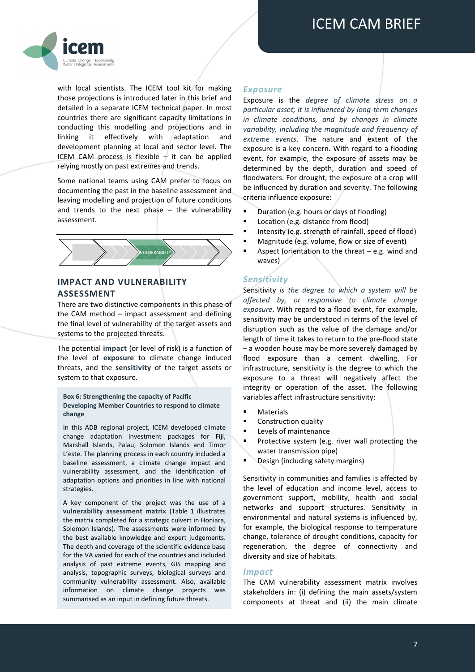

with local scientists. The ICEM tool kit for making those projections is introduced later in this brief and detailed in a separate ICEM technical paper. In most countries there are significant capacity limitations in conducting this modelling and projections and in linking it effectively with adaptation and development planning at local and sector level. The ICEM CAM process is flexible  $-$  it can be applied relying mostly on past extremes and trends.

Some national teams using CAM prefer to focus on documenting the past in the baseline assessment and leaving modelling and projection of future conditions and trends to the next phase  $-$  the vulnerability assessment.



#### **IMPACT AND VULNERABILITY ASSESSMENT**

There are two distinctive components in this phase of the CAM method – impact assessment and defining the final level of vulnerability of the target assets and systems to the projected threats.

The potential **impact** (or level of risk) is a function of the level of **exposure** to climate change induced threats, and the **sensitivity** of the target assets or system to that exposure.

**Box 6: Strengthening the capacity of Pacific Developing Member Countries to respond to climate change**

In this ADB regional project, ICEM developed climate change adaptation investment packages for Fiji, Marshall Islands, Palau, Solomon Islands and Timor L'este. The planning process in each country included a baseline assessment, a climate change impact and vulnerability assessment, and the identification of adaptation options and priorities in line with national strategies.

A key component of the project was the use of a **vulnerability assessment matrix** (Table 1 illustrates the matrix completed for a strategic culvert in Honiara, Solomon Islands). The assessments were informed by the best available knowledge and expert judgements. The depth and coverage of the scientific evidence base for the VA varied for each of the countries and included analysis of past extreme events, GIS mapping and analysis, topographic surveys, biological surveys and community vulnerability assessment. Also, available information on climate change projects was summarised as an input in defining future threats.

#### *Exposure*

Exposure is the *degree of climate stress on a particular asset; it is influenced by long-term changes in climate conditions, and by changes in climate variability, including the magnitude and frequency of extreme events*. The nature and extent of the exposure is a key concern. With regard to a flooding event, for example, the exposure of assets may be determined by the depth, duration and speed of floodwaters. For drought, the exposure of a crop will be influenced by duration and severity. The following criteria influence exposure:

- **•** Duration (e.g. hours or days of flooding)
- **Location (e.g. distance from flood)**
- Intensity (e.g. strength of rainfall, speed of flood)
- **Magnitude (e.g. volume, flow or size of event)**
- Aspect (orientation to the threat e.g. wind and waves)

### *Sensitivity*

Sensitivity *is the degree to which a system will be affected by, or responsive to climate change exposure*. With regard to a flood event, for example, sensitivity may be understood in terms of the level of disruption such as the value of the damage and/or length of time it takes to return to the pre-flood state – a wooden house may be more severely damaged by flood exposure than a cement dwelling. For infrastructure, sensitivity is the degree to which the exposure to a threat will negatively affect the integrity or operation of the asset. The following variables affect infrastructure sensitivity:

- Materials
- Construction quality
- Levels of maintenance
- Protective system (e.g. river wall protecting the water transmission pipe)
- Design (including safety margins)

Sensitivity in communities and families is affected by the level of education and income level, access to government support, mobility, health and social networks and support structures. Sensitivity in environmental and natural systems is influenced by, for example, the biological response to temperature change, tolerance of drought conditions, capacity for regeneration, the degree of connectivity and diversity and size of habitats.

#### *Impact*

The CAM vulnerability assessment matrix involves stakeholders in: (i) defining the main assets/system components at threat and (ii) the main climate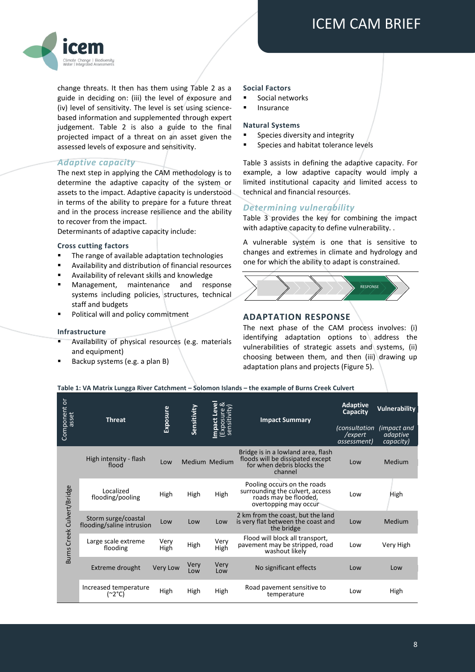

change threats. It then has them using Table 2 as a guide in deciding on: (iii) the level of exposure and (iv) level of sensitivity. The level is set using sciencebased information and supplemented through expert judgement. Table 2 is also a guide to the final projected impact of a threat on an asset given the assessed levels of exposure and sensitivity.

#### *Adaptive capacity*

The next step in applying the CAM methodology is to determine the adaptive capacity of the system or assets to the impact. Adaptive capacity is understood in terms of the ability to prepare for a future threat and in the process increase resilience and the ability to recover from the impact.

Determinants of adaptive capacity include:

#### **Cross cutting factors**

- The range of available adaptation technologies
- Availability and distribution of financial resources
- Availability of relevant skills and knowledge
- Management, maintenance and response systems including policies, structures, technical staff and budgets
- Political will and policy commitment

#### **Infrastructure**

- Availability of physical resources (e.g. materials and equipment)
- Backup systems (e.g. a plan B)

#### **Social Factors**

- Social networks
- Insurance

#### **Natural Systems**

- Species diversity and integrity
- **Species and habitat tolerance levels**

Table 3 assists in defining the adaptive capacity. For example, a low adaptive capacity would imply a limited institutional capacity and limited access to technical and financial resources.

### *Determining vulnerability*

[Table 3](#page-8-0) provides the key for combining the impact with adaptive capacity to define vulnerability. .

A vulnerable system is one that is sensitive to changes and extremes in climate and hydrology and one for which the ability to adapt is constrained.



#### **ADAPTATION RESPONSE**

The next phase of the CAM process involves: (i) identifying adaptation options to address the vulnerabilities of strategic assets and systems, (ii) choosing between them, and then (iii) drawing up adaptation plans and projects (Figure 5).

| Table 1: VA Matrix Lungga River Catchment – Solomon Islands – the example of Burns Creek Culvert |  |
|--------------------------------------------------------------------------------------------------|--|
|--------------------------------------------------------------------------------------------------|--|

| Component or<br>asset      | <b>Threat</b>                                    | Exposure     | Sensitivity | <b>Impact Level</b><br>(Exposure &<br>sensitivity) | <b>Impact Summary</b>                                                                                            | <b>Adaptive</b><br>Capacity          | <b>Vulnerability</b> |
|----------------------------|--------------------------------------------------|--------------|-------------|----------------------------------------------------|------------------------------------------------------------------------------------------------------------------|--------------------------------------|----------------------|
|                            |                                                  |              |             |                                                    | <i>(consultation</i> )<br>/expert<br>assessment)                                                                 | (impact and<br>adaptive<br>capacity) |                      |
|                            | High intensity - flash<br>flood                  | Low          |             | Medium Medium                                      | Bridge is in a lowland area, flash<br>floods will be dissipated except<br>for when debris blocks the<br>channel  | Low                                  | Medium               |
| Burns Creek Culvert/Bridge | Localized<br>flooding/pooling                    | High         | High        | High                                               | Pooling occurs on the roads<br>surrounding the culvert, access<br>roads may be flooded,<br>overtopping may occur | Low                                  | High                 |
|                            | Storm surge/coastal<br>flooding/saline intrusion | Low          | Low         | Low                                                | 2 km from the coast, but the land<br>is very flat between the coast and<br>the bridge                            | Low                                  | Medium               |
|                            | Large scale extreme<br>flooding                  | Very<br>High | High        | Very<br>High                                       | Flood will block all transport,<br>pavement may be stripped, road<br>washout likely                              | Low                                  | Very High            |
|                            | Extreme drought                                  | Very Low     | Very<br>Low | Very<br>Low                                        | No significant effects                                                                                           | Low                                  | Low                  |
|                            | Increased temperature<br>(~2°C)                  | High         | High        | High                                               | Road pavement sensitive to<br>temperature                                                                        | Low                                  | High                 |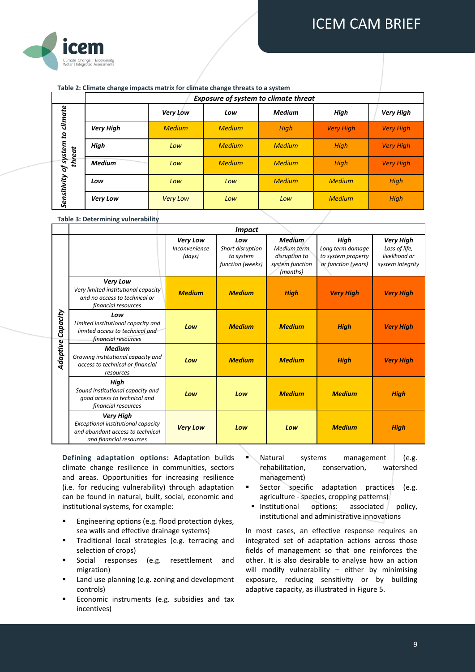

#### **Table 2: Climate change impacts matrix for climate change threats to a system**

|                     | <b>Exposure of system to climate threat</b> |                 |               |               |                  |                  |
|---------------------|---------------------------------------------|-----------------|---------------|---------------|------------------|------------------|
| climate             |                                             | Very Low        | Low           | <b>Medium</b> | High             | <b>Very High</b> |
| $\mathfrak{a}$      | <b>Very High</b>                            | <b>Medium</b>   | <b>Medium</b> | High          | <b>Very High</b> | <b>Very High</b> |
|                     | High                                        | Low             | <b>Medium</b> | <b>Medium</b> | <b>High</b>      | <b>Very High</b> |
| of system<br>threat | <b>Medium</b>                               | Low             | <b>Medium</b> | <b>Medium</b> | <b>High</b>      | <b>Very High</b> |
| Sensitivity         | Low                                         | Low             | Low           | <b>Medium</b> | <b>Medium</b>    | <b>High</b>      |
|                     | <b>Very Low</b>                             | <b>Very Low</b> | Low           | Low           | <b>Medium</b>    | High             |

#### <span id="page-8-0"></span>**Table 3: Determining vulnerability**

|                      | <b>Impact</b>                                                                                                         |                                     |                                                          |                                                                              |                                                                       |                                                                        |
|----------------------|-----------------------------------------------------------------------------------------------------------------------|-------------------------------------|----------------------------------------------------------|------------------------------------------------------------------------------|-----------------------------------------------------------------------|------------------------------------------------------------------------|
|                      |                                                                                                                       | Very Low<br>Inconvenience<br>(days) | Low<br>Short disruption<br>to system<br>function (weeks) | <b>Medium</b><br>Medium term<br>disruption to<br>system function<br>(months) | High<br>Long term damage<br>to system property<br>or function (years) | <b>Very High</b><br>Loss of life,<br>livelihood or<br>system integrity |
| Capacity<br>Adaptive | Very Low<br>Very limited institutional capacity<br>and no access to technical or<br>financial resources               | <b>Medium</b>                       | <b>Medium</b>                                            | <b>High</b>                                                                  | <b>Very High</b>                                                      | <b>Very High</b>                                                       |
|                      | Low<br>Limited institutional capacity and<br>limited access to technical and<br>financial resources                   | Low                                 | <b>Medium</b>                                            | <b>Medium</b>                                                                | <b>High</b>                                                           | <b>Very High</b>                                                       |
|                      | <b>Medium</b><br>Growing institutional capacity and<br>access to technical or financial<br>resources                  | Low                                 | <b>Medium</b>                                            | <b>Medium</b>                                                                | <b>High</b>                                                           | <b>Very High</b>                                                       |
|                      | High<br>Sound institutional capacity and<br>good access to technical and<br>financial resources                       | Low                                 | Low                                                      | <b>Medium</b>                                                                | <b>Medium</b>                                                         | <b>High</b>                                                            |
|                      | <b>Very High</b><br>Exceptional institutional capacity<br>and abundant access to technical<br>and financial resources | <b>Very Low</b>                     | Low                                                      | Low                                                                          | <b>Medium</b>                                                         | <b>High</b>                                                            |

**Defining adaptation options:** Adaptation builds climate change resilience in communities, sectors and areas. Opportunities for increasing resilience (i.e. for reducing vulnerability) through adaptation can be found in natural, built, social, economic and institutional systems, for example:

- **Engineering options (e.g. flood protection dykes,** sea walls and effective drainage systems)
- Traditional local strategies (e.g. terracing and selection of crops)
- Social responses (e.g. resettlement and migration)
- Land use planning (e.g. zoning and development controls)
- Economic instruments (e.g. subsidies and tax incentives)
- Natural systems management (e.g. rehabilitation, conservation, watershed management)
- Sector specific adaptation practices (e.g. agriculture - species, cropping patterns)
- Institutional options: associated policy, institutional and administrative innovations

In most cases, an effective response requires an integrated set of adaptation actions across those fields of management so that one reinforces the other. It is also desirable to analyse how an action will modify vulnerability - either by minimising exposure, reducing sensitivity or by building adaptive capacity, as illustrated i[n Figure 5.](#page-9-0)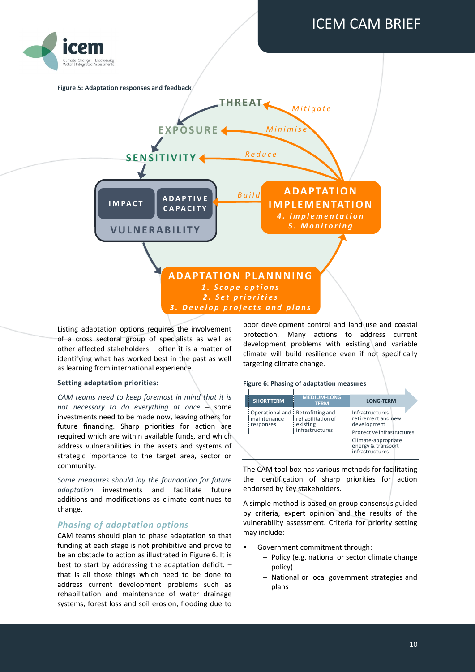

<span id="page-9-0"></span>

Listing adaptation options requires the involvement of a cross sectoral group of specialists as well as other affected stakeholders – often it is a matter of identifying what has worked best in the past as well as learning from international experience.

#### **Setting adaptation priorities:**

*CAM teams need to keep foremost in mind that it is not necessary to do everything at once* – some investments need to be made now, leaving others for future financing. Sharp priorities for action are required which are within available funds, and which address vulnerabilities in the assets and systems of strategic importance to the target area, sector or community.

*Some measures should lay the foundation for future adaptation* investments and facilitate future additions and modifications as climate continues to change.

#### *Phasing of adaptation options*

CAM teams should plan to phase adaptation so that funding at each stage is not prohibitive and prove to be an obstacle to action as illustrated in [Figure 6.](#page-9-1) It is best to start by addressing the adaptation deficit. – that is all those things which need to be done to address current development problems such as rehabilitation and maintenance of water drainage systems, forest loss and soil erosion, flooding due to

poor development control and land use and coastal protection. Many actions to address current development problems with existing and variable climate will build resilience even if not specifically targeting climate change.

<span id="page-9-1"></span>

| <b>MEDIUM-LONG</b><br><b>SHORT TERM</b><br><b>LONG-TERM</b><br><b>TERM</b><br>Infrastructures<br>Operational and I Retrofitting and<br>rehabilitation of<br>maintenance<br>retirement and new<br>development<br>existing<br>responses<br>infrastructures<br>Protective infrastructures |  | Figure 6: Phasing of adaptation measures |                     |  |
|----------------------------------------------------------------------------------------------------------------------------------------------------------------------------------------------------------------------------------------------------------------------------------------|--|------------------------------------------|---------------------|--|
|                                                                                                                                                                                                                                                                                        |  |                                          |                     |  |
| energy & transport<br>infrastructures                                                                                                                                                                                                                                                  |  |                                          | Climate-appropriate |  |

The CAM tool box has various methods for facilitating the identification of sharp priorities for action endorsed by key stakeholders.

A simple method is based on group consensus guided by criteria, expert opinion and the results of the vulnerability assessment. Criteria for priority setting may include:

- Government commitment through:
	- Policy (e.g. national or sector climate change policy)
	- National or local government strategies and plans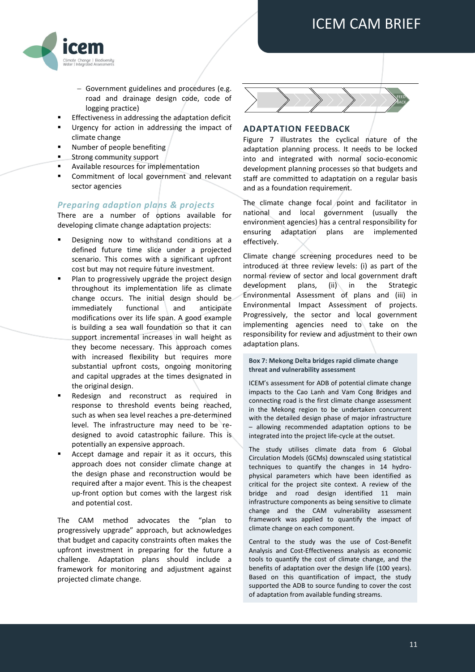

- Government guidelines and procedures (e.g. road and drainage design code, code of logging practice)
- Effectiveness in addressing the adaptation deficit
- Urgency for action in addressing the impact of climate change
- Number of people benefiting
- Strong community support
- Available resources for implementation
- Commitment of local government and relevant sector agencies

#### *Preparing adaption plans & projects*

There are a number of options available for developing climate change adaptation projects:

- Designing now to withstand conditions at a defined future time slice under a projected scenario. This comes with a significant upfront cost but may not require future investment.
- Plan to progressively upgrade the project design throughout its implementation life as climate change occurs. The initial design should be immediately functional and anticipate modifications over its life span. A good example is building a sea wall foundation so that it can support incremental increases in wall height as they become necessary. This approach comes with increased flexibility but requires more substantial upfront costs, ongoing monitoring and capital upgrades at the times designated in the original design.
- Redesign and reconstruct as required in response to threshold events being reached, such as when sea level reaches a pre-determined level. The infrastructure may need to be redesigned to avoid catastrophic failure. This is potentially an expensive approach.
- Accept damage and repair it as it occurs, this approach does not consider climate change at the design phase and reconstruction would be required after a major event. This is the cheapest up-front option but comes with the largest risk and potential cost.

The CAM method advocates the "plan to progressively upgrade" approach, but acknowledges that budget and capacity constraints often makes the upfront investment in preparing for the future a challenge. Adaptation plans should include a framework for monitoring and adjustment against projected climate change.



#### **ADAPTATION FEEDBACK**

[Figure 7](#page-11-0) illustrates the cyclical nature of the adaptation planning process. It needs to be locked into and integrated with normal socio-economic development planning processes so that budgets and staff are committed to adaptation on a regular basis and as a foundation requirement.

The climate change focal point and facilitator in national and local government (usually the environment agencies) has a central responsibility for ensuring adaptation plans are implemented effectively.

Climate change screening procedures need to be introduced at three review levels: (i) as part of the normal review of sector and local government draft development plans, (ii) in the Strategic Environmental Assessment of plans and (iii) in Environmental Impact Assessment of projects. Progressively, the sector and local government implementing agencies need to take on the responsibility for review and adjustment to their own adaptation plans.

#### **Box 7: Mekong Delta bridges rapid climate change threat and vulnerability assessment**

ICEM's assessment for ADB of potential climate change impacts to the Cao Lanh and Vam Cong Bridges and connecting road is the first climate change assessment in the Mekong region to be undertaken concurrent with the detailed design phase of major infrastructure – allowing recommended adaptation options to be integrated into the project life-cycle at the outset.

The study utilises climate data from 6 Global Circulation Models (GCMs) downscaled using statistical techniques to quantify the changes in 14 hydrophysical parameters which have been identified as critical for the project site context. A review of the bridge and road design identified 11 main infrastructure components as being sensitive to climate change and the CAM vulnerability assessment framework was applied to quantify the impact of climate change on each component.

Central to the study was the use of Cost-Benefit Analysis and Cost-Effectiveness analysis as economic tools to quantify the cost of climate change, and the benefits of adaptation over the design life (100 years). Based on this quantification of impact, the study supported the ADB to source funding to cover the cost of adaptation from available funding streams.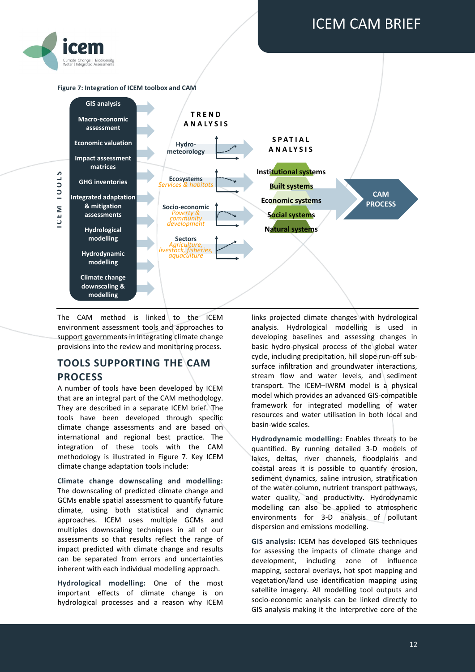

#### <span id="page-11-0"></span>**Figure 7: Integration of ICEM toolbox and CAM**



The CAM method is linked to the ICEM environment assessment tools and approaches to support governments in integrating climate change provisions into the review and monitoring process.

## **TOOLS SUPPORTING THE CAM PROCESS**

A number of tools have been developed by ICEM that are an integral part of the CAM methodology. They are described in a separate ICEM brief. The tools have been developed through specific climate change assessments and are based on international and regional best practice. The integration of these tools with the CAM methodology is illustrated in [Figure 7.](#page-11-0) Key ICEM climate change adaptation tools include:

**Climate change downscaling and modelling:** The downscaling of predicted climate change and GCMs enable spatial assessment to quantify future climate, using both statistical and dynamic approaches. ICEM uses multiple GCMs and multiples downscaling techniques in all of our assessments so that results reflect the range of impact predicted with climate change and results can be separated from errors and uncertainties inherent with each individual modelling approach.

**Hydrological modelling:** One of the most important effects of climate change is on hydrological processes and a reason why ICEM

links projected climate changes with hydrological analysis. Hydrological modelling is used in developing baselines and assessing changes in basic hydro-physical process of the global water cycle, including precipitation, hill slope run-off subsurface infiltration and groundwater interactions, stream flow and water levels, and sediment transport. The ICEM–IWRM model is a physical model which provides an advanced GIS-compatible framework for integrated modelling of water resources and water utilisation in both local and basin-wide scales.

**Hydrodynamic modelling:** Enables threats to be quantified. By running detailed 3-D models of lakes, deltas, river channels, floodplains and coastal areas it is possible to quantify erosion, sediment dynamics, saline intrusion, stratification of the water column, nutrient transport pathways, water quality, and productivity. Hydrodynamic modelling can also be applied to atmospheric environments for 3-D analysis of pollutant dispersion and emissions modelling.

**GIS analysis:** ICEM has developed GIS techniques for assessing the impacts of climate change and development, including zone of influence mapping, sectoral overlays, hot spot mapping and vegetation/land use identification mapping using satellite imagery. All modelling tool outputs and socio-economic analysis can be linked directly to GIS analysis making it the interpretive core of the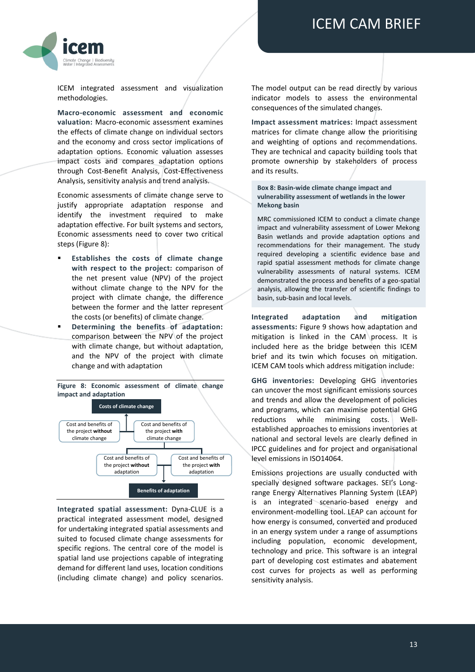

ICEM integrated assessment and visualization methodologies.

**Macro-economic assessment and economic valuation:** Macro-economic assessment examines the effects of climate change on individual sectors and the economy and cross sector implications of adaptation options. Economic valuation assesses impact costs and compares adaptation options through Cost-Benefit Analysis, Cost-Effectiveness Analysis, sensitivity analysis and trend analysis.

Economic assessments of climate change serve to justify appropriate adaptation response and identify the investment required to make adaptation effective. For built systems and sectors, Economic assessments need to cover two critical steps [\(Figure 8\)](#page-12-0):

- **Establishes the costs of climate change with respect to the project:** comparison of the net present value (NPV) of the project without climate change to the NPV for the project with climate change, the difference between the former and the latter represent the costs (or benefits) of climate change.
- **Determining the benefits of adaptation:** comparison between the NPV of the project with climate change, but without adaptation, and the NPV of the project with climate change and with adaptation

<span id="page-12-0"></span>**Figure 8: Economic assessment of climate change impact and adaptation Costs of climate change Benefits of adaptation** Cost and benefits of the project **without** climate change Cost and benefits of the project **with** climate change Cost and benefits of the project **without** adaptation Cost and benefits of the project **with** adaptation

**Integrated spatial assessment:** Dyna‐CLUE is a practical integrated assessment model, designed for undertaking integrated spatial assessments and suited to focused climate change assessments for specific regions. The central core of the model is spatial land use projections capable of integrating demand for different land uses, location conditions (including climate change) and policy scenarios.

The model output can be read directly by various indicator models to assess the environmental consequences of the simulated changes.

**Impact assessment matrices:** Impact assessment matrices for climate change allow the prioritising and weighting of options and recommendations. They are technical and capacity building tools that promote ownership by stakeholders of process and its results.

**Box 8: Basin-wide climate change impact and vulnerability assessment of wetlands in the lower Mekong basin** 

MRC commissioned ICEM to conduct a climate change impact and vulnerability assessment of Lower Mekong Basin wetlands and provide adaptation options and recommendations for their management. The study required developing a scientific evidence base and rapid spatial assessment methods for climate change vulnerability assessments of natural systems. ICEM demonstrated the process and benefits of a geo-spatial analysis, allowing the transfer of scientific findings to basin, sub-basin and local levels.

**Integrated adaptation and mitigation assessments:** [Figure 9](#page-13-0) shows how adaptation and mitigation is linked in the CAM process. It is included here as the bridge between this ICEM brief and its twin which focuses on mitigation. ICEM CAM tools which address mitigation include:

**GHG inventories:** Developing GHG inventories can uncover the most significant emissions sources and trends and allow the development of policies and programs, which can maximise potential GHG reductions while minimising costs. Wellestablished approaches to emissions inventories at national and sectoral levels are clearly defined in IPCC guidelines and for project and organisational level emissions in ISO14064.

Emissions projections are usually conducted with specially designed software packages. SEI's Longrange Energy Alternatives Planning System (LEAP) is an integrated scenario-based energy and environment-modelling tool. LEAP can account for how energy is consumed, converted and produced in an energy system under a range of assumptions including population, economic development, technology and price. This software is an integral part of developing cost estimates and abatement cost curves for projects as well as performing sensitivity analysis.